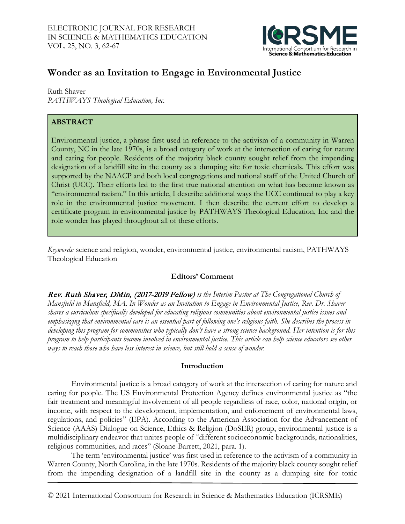

# **Wonder as an Invitation to Engage in Environmental Justice**

Ruth Shaver *PATHWAYS Theological Education, Inc.* 

## **ABSTRACT**

Environmental justice, a phrase first used in reference to the activism of a community in Warren County, NC in the late 1970s, is a broad category of work at the intersection of caring for nature and caring for people. Residents of the majority black county sought relief from the impending designation of a landfill site in the county as a dumping site for toxic chemicals. This effort was supported by the NAACP and both local congregations and national staff of the United Church of Christ (UCC). Their efforts led to the first true national attention on what has become known as "environmental racism." In this article, I describe additional ways the UCC continued to play a key role in the environmental justice movement. I then describe the current effort to develop a certificate program in environmental justice by PATHWAYS Theological Education, Inc and the role wonder has played throughout all of these efforts.

*Keywords:* science and religion, wonder, environmental justice, environmental racism, PATHWAYS Theological Education

## **Editors' Comment**

Rev. Ruth Shaver, DMin, (2017-2019 Fellow) *is the Interim Pastor at The Congregational Church of Mansfield in Mansfield, MA. In Wonder as an Invitation to Engage in Environmental Justice, Rev. Dr. Shaver shares a curriculum specifically developed for educating religious communities about environmental justice issues and emphasizing that environmental care is an essential part of following one's religious faith. She describes the process in*  developing this program for communities who typically don't have a strong science background. Her intention is for this *program to help participants become involved in environmental justice. This article can help science educators see other ways to reach those who have less interest in science, but still hold a sense of wonder.*

## **Introduction**

Environmental justice is a broad category of work at the intersection of caring for nature and caring for people. The US Environmental Protection Agency defines environmental justice as "the fair treatment and meaningful involvement of all people regardless of race, color, national origin, or income, with respect to the development, implementation, and enforcement of environmental laws, regulations, and policies" (EPA). According to the American Association for the Advancement of Science (AAAS) Dialogue on Science, Ethics & Religion (DoSER) group, environmental justice is a multidisciplinary endeavor that unites people of "different socioeconomic backgrounds, nationalities, religious communities, and races" (Sloane-Barrett, 2021, para. 1).

The term 'environmental justice' was first used in reference to the activism of a community in Warren County, North Carolina, in the late 1970s. Residents of the majority black county sought relief from the impending designation of a landfill site in the county as a dumping site for toxic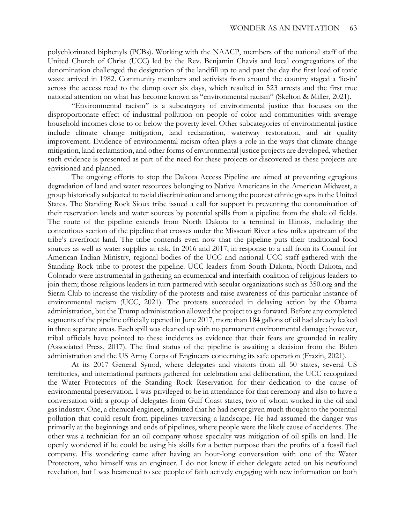polychlorinated biphenyls (PCBs). Working with the NAACP, members of the national staff of the United Church of Christ (UCC) led by the Rev. Benjamin Chavis and local congregations of the denomination challenged the designation of the landfill up to and past the day the first load of toxic waste arrived in 1982. Community members and activists from around the country staged a 'lie-in' across the access road to the dump over six days, which resulted in 523 arrests and the first true national attention on what has become known as "environmental racism" (Skelton & Miller, 2021).

"Environmental racism" is a subcategory of environmental justice that focuses on the disproportionate effect of industrial pollution on people of color and communities with average household incomes close to or below the poverty level. Other subcategories of environmental justice include climate change mitigation, land reclamation, waterway restoration, and air quality improvement. Evidence of environmental racism often plays a role in the ways that climate change mitigation, land reclamation, and other forms of environmental justice projects are developed, whether such evidence is presented as part of the need for these projects or discovered as these projects are envisioned and planned.

The ongoing efforts to stop the Dakota Access Pipeline are aimed at preventing egregious degradation of land and water resources belonging to Native Americans in the American Midwest, a group historically subjected to racial discrimination and among the poorest ethnic groups in the United States. The Standing Rock Sioux tribe issued a call for support in preventing the contamination of their reservation lands and water sources by potential spills from a pipeline from the shale oil fields. The route of the pipeline extends from North Dakota to a terminal in Illinois, including the contentious section of the pipeline that crosses under the Missouri River a few miles upstream of the tribe's riverfront land. The tribe contends even now that the pipeline puts their traditional food sources as well as water supplies at risk. In 2016 and 2017, in response to a call from its Council for American Indian Ministry, regional bodies of the UCC and national UCC staff gathered with the Standing Rock tribe to protest the pipeline. UCC leaders from South Dakota, North Dakota, and Colorado were instrumental in gathering an ecumenical and interfaith coalition of religious leaders to join them; those religious leaders in turn partnered with secular organizations such as 350.org and the Sierra Club to increase the visibility of the protests and raise awareness of this particular instance of environmental racism (UCC, 2021). The protests succeeded in delaying action by the Obama administration, but the Trump administration allowed the project to go forward. Before any completed segments of the pipeline officially opened in June 2017, more than 184 gallons of oil had already leaked in three separate areas. Each spill was cleaned up with no permanent environmental damage; however, tribal officials have pointed to these incidents as evidence that their fears are grounded in reality (Associated Press, 2017). The final status of the pipeline is awaiting a decision from the Biden administration and the US Army Corps of Engineers concerning its safe operation (Frazin, 2021).

At its 2017 General Synod, where delegates and visitors from all 50 states, several US territories, and international partners gathered for celebration and deliberation, the UCC recognized the Water Protectors of the Standing Rock Reservation for their dedication to the cause of environmental preservation. I was privileged to be in attendance for that ceremony and also to have a conversation with a group of delegates from Gulf Coast states, two of whom worked in the oil and gas industry. One, a chemical engineer, admitted that he had never given much thought to the potential pollution that could result from pipelines traversing a landscape. He had assumed the danger was primarily at the beginnings and ends of pipelines, where people were the likely cause of accidents. The other was a technician for an oil company whose specialty was mitigation of oil spills on land. He openly wondered if he could be using his skills for a better purpose than the profits of a fossil fuel company. His wondering came after having an hour-long conversation with one of the Water Protectors, who himself was an engineer. I do not know if either delegate acted on his newfound revelation, but I was heartened to see people of faith actively engaging with new information on both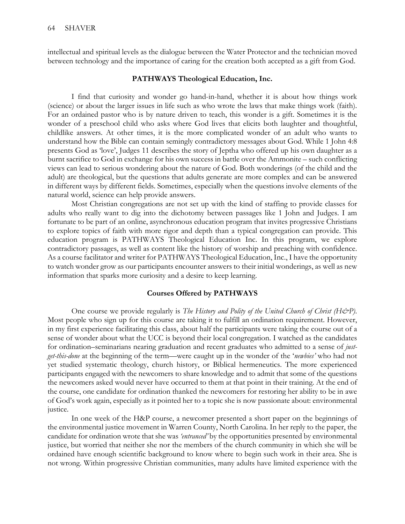intellectual and spiritual levels as the dialogue between the Water Protector and the technician moved between technology and the importance of caring for the creation both accepted as a gift from God.

#### **PATHWAYS Theological Education, Inc.**

I find that curiosity and wonder go hand-in-hand, whether it is about how things work (science) or about the larger issues in life such as who wrote the laws that make things work (faith). For an ordained pastor who is by nature driven to teach, this wonder is a gift. Sometimes it is the wonder of a preschool child who asks where God lives that elicits both laughter and thoughtful, childlike answers. At other times, it is the more complicated wonder of an adult who wants to understand how the Bible can contain semingly contradictory messages about God. While 1 John 4:8 presents God as 'love', Judges 11 describes the story of Jeptha who offered up his own daughter as a burnt sacrifice to God in exchange for his own success in battle over the Ammonite – such conflicting views can lead to serious wondering about the nature of God. Both wonderings (of the child and the adult) are theological, but the questions that adults generate are more complex and can be answered in different ways by different fields. Sometimes, especially when the questions involve elements of the natural world, science can help provide answers.

Most Christian congregations are not set up with the kind of staffing to provide classes for adults who really want to dig into the dichotomy between passages like 1 John and Judges. I am fortunate to be part of an online, asynchronous education program that invites progressive Christians to explore topics of faith with more rigor and depth than a typical congregation can provide. This education program is PATHWAYS Theological Education Inc. In this program, we explore contradictory passages, as well as content like the history of worship and preaching with confidence. As a course facilitator and writer for PATHWAYS Theological Education, Inc., I have the opportunity to watch wonder grow as our participants encounter answers to their initial wonderings, as well as new information that sparks more curiosity and a desire to keep learning.

#### **Courses Offered by PATHWAYS**

One course we provide regularly is *The History and Polity of the United Church of Christ (H&P)*. Most people who sign up for this course are taking it to fulfill an ordination requirement. However, in my first experience facilitating this class, about half the participants were taking the course out of a sense of wonder about what the UCC is beyond their local congregation. I watched as the candidates for ordination–seminarians nearing graduation and recent graduates who admitted to a sense of *justget-this-done* at the beginning of the term—were caught up in the wonder of the '*newbies'* who had not yet studied systematic theology, church history, or Biblical hermeneutics. The more experienced participants engaged with the newcomers to share knowledge and to admit that some of the questions the newcomers asked would never have occurred to them at that point in their training. At the end of the course, one candidate for ordination thanked the newcomers for restoring her ability to be in awe of God's work again, especially as it pointed her to a topic she is now passionate about: environmental justice.

In one week of the H&P course, a newcomer presented a short paper on the beginnings of the environmental justice movement in Warren County, North Carolina. In her reply to the paper, the candidate for ordination wrote that she was *'entranced'* by the opportunities presented by environmental justice, but worried that neither she nor the members of the church community in which she will be ordained have enough scientific background to know where to begin such work in their area. She is not wrong. Within progressive Christian communities, many adults have limited experience with the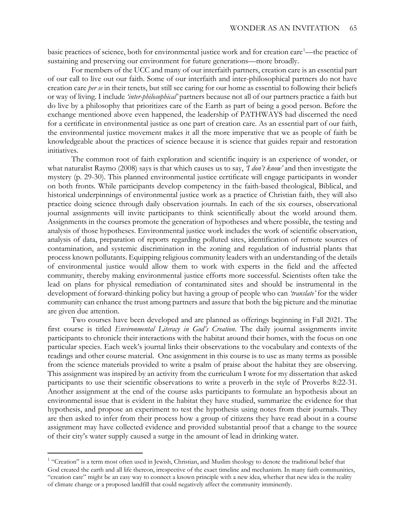basic practices of science, both for environmental justice work and for creation care<sup>[1](#page-3-0)</sup>—the practice of sustaining and preserving our environment for future generations—more broadly.

For members of the UCC and many of our interfaith partners, creation care is an essential part of our call to live out our faith. Some of our interfaith and inter-philosophical partners do not have creation care *per se* in their tenets, but still see caring for our home as essential to following their beliefs or way of living. I include *'inter-philosophical'* partners because not all of our partners practice a faith but do live by a philosophy that prioritizes care of the Earth as part of being a good person. Before the exchange mentioned above even happened, the leadership of PATHWAYS had discerned the need for a certificate in environmental justice as one part of creation care. As an essential part of our faith, the environmental justice movement makes it all the more imperative that we as people of faith be knowledgeable about the practices of science because it is science that guides repair and restoration initiatives.

The common root of faith exploration and scientific inquiry is an experience of wonder, or what naturalist Raymo (2008) says is that which causes us to say, *'I don't know'* and then investigate the mystery (p. 29-30). This planned environmental justice certificate will engage participants in wonder on both fronts. While participants develop competency in the faith-based theological, Biblical, and historical underpinnings of environmental justice work as a practice of Christian faith, they will also practice doing science through daily observation journals. In each of the six courses, observational journal assignments will invite participants to think scientifically about the world around them. Assignments in the courses promote the generation of hypotheses and where possible, the testing and analysis of those hypotheses. Environmental justice work includes the work of scientific observation, analysis of data, preparation of reports regarding polluted sites, identification of remote sources of contamination, and systemic discrimination in the zoning and regulation of industrial plants that process known pollutants. Equipping religious community leaders with an understanding of the details of environmental justice would allow them to work with experts in the field and the affected community, thereby making environmental justice efforts more successful. Scientists often take the lead on plans for physical remediation of contaminated sites and should be instrumental in the development of forward-thinking policy but having a group of people who can *'translate'* for the wider community can enhance the trust among partners and assure that both the big picture and the minutiae are given due attention.

Two courses have been developed and are planned as offerings beginning in Fall 2021. The first course is titled *Environmental Literacy in God's Creation*. The daily journal assignments invite participants to chronicle their interactions with the habitat around their homes, with the focus on one particular species. Each week's journal links their observations to the vocabulary and contexts of the readings and other course material. One assignment in this course is to use as many terms as possible from the science materials provided to write a psalm of praise about the habitat they are observing. This assignment was inspired by an activity from the curriculum I wrote for my dissertation that asked participants to use their scientific observations to write a proverb in the style of Proverbs 8:22-31. Another assignment at the end of the course asks participants to formulate an hypothesis about an environmental issue that is evident in the habitat they have studied, summarize the evidence for that hypothesis, and propose an experiment to test the hypothesis using notes from their journals. They are then asked to infer from their process how a group of citizens they have read about in a course assignment may have collected evidence and provided substantial proof that a change to the source of their city's water supply caused a surge in the amount of lead in drinking water.

 $\overline{a}$ 

<span id="page-3-0"></span><sup>&</sup>lt;sup>1</sup> "Creation" is a term most often used in Jewish, Christian, and Muslim theology to denote the traditional belief that God created the earth and all life thereon, irrespective of the exact timeline and mechanism. In many faith communities, "creation care" might be an easy way to connect a known principle with a new idea, whether that new idea is the reality of climate change or a proposed landfill that could negatively affect the community imminently.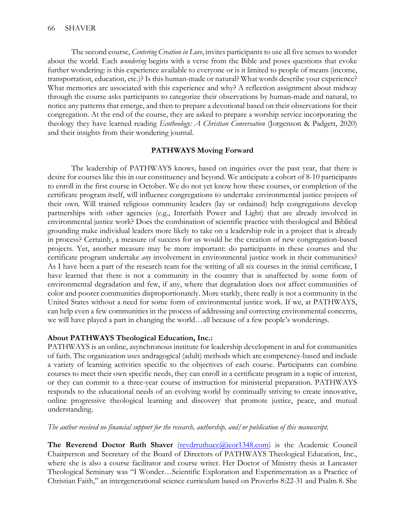The second course, *Centering Creation in Love*, invites participants to use all five senses to wonder about the world. Each *wondering* begins with a verse from the Bible and poses questions that evoke further wondering: is this experience available to everyone or is it limited to people of means (income, transportation, education, etc.)? Is this human-made or natural? What words describe your experience? What memories are associated with this experience and why? A reflection assignment about midway through the course asks participants to categorize their observations by human-made and natural, to notice any patterns that emerge, and then to prepare a devotional based on their observations for their congregation. At the end of the course, they are asked to prepare a worship service incorporating the theology they have learned reading *Ecotheology: A Christian Conversation* (Jorgenson & Padgett, 2020) and their insights from their wondering journal.

### **PATHWAYS Moving Forward**

The leadership of PATHWAYS knows, based on inquiries over the past year, that there is desire for courses like this in our constituency and beyond. We anticipate a cohort of 8-10 participants to enroll in the first course in October. We do not yet know how these courses, or completion of the certificate program itself, will influence congregations to undertake environmental justice projects of their own. Will trained religious community leaders (lay or ordained) help congregations develop partnerships with other agencies (e.g., Interfaith Power and Light) that are already involved in environmental justice work? Does the combination of scientific practice with theological and Biblical grounding make individual leaders more likely to take on a leadership role in a project that is already in process? Certainly, a measure of success for us would be the creation of new congregation-based projects. Yet, another measure may be more important: do participants in these courses and the certificate program undertake *any* involvement in environmental justice work in their communities? As I have been a part of the research team for the writing of all six courses in the initial certificate, I have learned that there is not a community in the country that is unaffected by some form of environmental degradation and few, if any, where that degradation does not affect communities of color and poorer communities disproportionately. More starkly, there really is not a community in the United States without a need for some form of environmental justice work. If we, at PATHWAYS, can help even a few communities in the process of addressing and correcting environmental concerns, we will have played a part in changing the world…all because of a few people's wonderings.

## **About PATHWAYS Theological Education, Inc.:**

PATHWAYS is an online, asynchronous institute for leadership development in and for communities of faith. The organization uses andragogical (adult) methods which are competency-based and include a variety of learning activities specific to the objectives of each course. Participants can combine courses to meet their own specific needs, they can enroll in a certificate program in a topic of interest, or they can commit to a three-year course of instruction for ministerial preparation. PATHWAYS responds to the educational needs of an evolving world by continually striving to create innovative, online progressive theological learning and discovery that promote justice, peace, and mutual understanding.

## *The author received no financial support for the research, authorship, and/or publication of this manuscript.*

**The Reverend Doctor Ruth Shaver** [\(revdrruthucc@icor1348.com\)](mailto:revdrruthucc@icor1348.com) is the Academic Council Chairperson and Secretary of the Board of Directors of PATHWAYS Theological Education, Inc., where she is also a course facilitator and course writer. Her Doctor of Ministry thesis at Lancaster Theological Seminary was "I Wonder…Scientific Exploration and Experimentation as a Practice of Christian Faith," an intergenerational science curriculum based on Proverbs 8:22-31 and Psalm 8. She